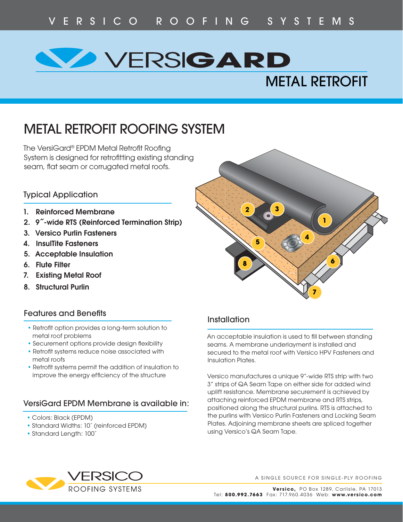# **RSIGARD** METAL RETROFIT

# METAL RETROFIT ROOFING SYSTEM

The VersiGard® EPDM Metal Retrofit Roofing System is designed for retrofitting existing standing seam, flat seam or corrugated metal roofs.

## Typical Application

- **1. Reinforced Membrane**
- **2. 9˝-wide RTS (Reinforced Termination Strip)**
- **3. Versico Purlin Fasteners**
- **4. InsulTite Fasteners**
- **5. Acceptable Insulation**
- **6. Flute Filter**
- **7. Existing Metal Roof**
- **8. Structural Purlin**

#### **Features and Benefits**

- Retrofit option provides a long-term solution to metal roof problems
- Securement options provide design flexibility
- Retrofit systems reduce noise associated with metal roofs
- Retrofit systems permit the addition of insulation to improve the energy efficiency of the structure

## VersiGard EPDM Membrane is available in:

- Colors: Black (EPDM)
- Standard Widths: 10´ (reinforced EPDM)
- Standard Length: 100´



## **Installation**

An acceptable insulation is used to fill between standing seams. A membrane underlayment is installed and secured to the metal roof with Versico HPV Fasteners and Insulation Plates.

Versico manufactures a unique 9"-wide RTS strip with two 3" strips of QA Seam Tape on either side for added wind uplift resistance. Membrane securement is achieved by attaching reinforced EPDM membrane and RTS strips, positioned along the structural purlins. RTS is attached to the purlins with Versico Purlin Fasteners and Locking Seam Plates. Adjoining membrane sheets are spliced together using Versico's QA Seam Tape.



A SINGLE SOURCE FOR SINGLE-PLY ROOFING